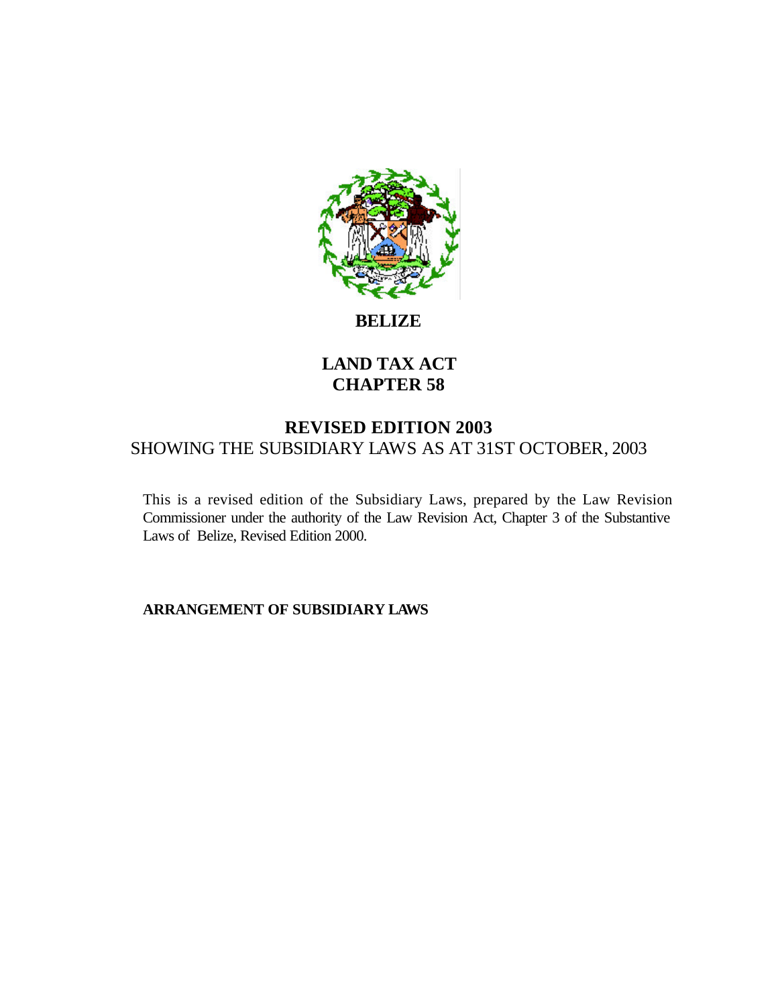

**BELIZE**

## **LAND TAX ACT CHAPTER 58**

## **REVISED EDITION 2003** SHOWING THE SUBSIDIARY LAWS AS AT 31ST OCTOBER, 2003

This is a revised edition of the Subsidiary Laws, prepared by the Law Revision Commissioner under the authority of the Law Revision Act, Chapter 3 of the Substantive Laws of Belize, Revised Edition 2000.

**ARRANGEMENT OF SUBSIDIARY LAWS**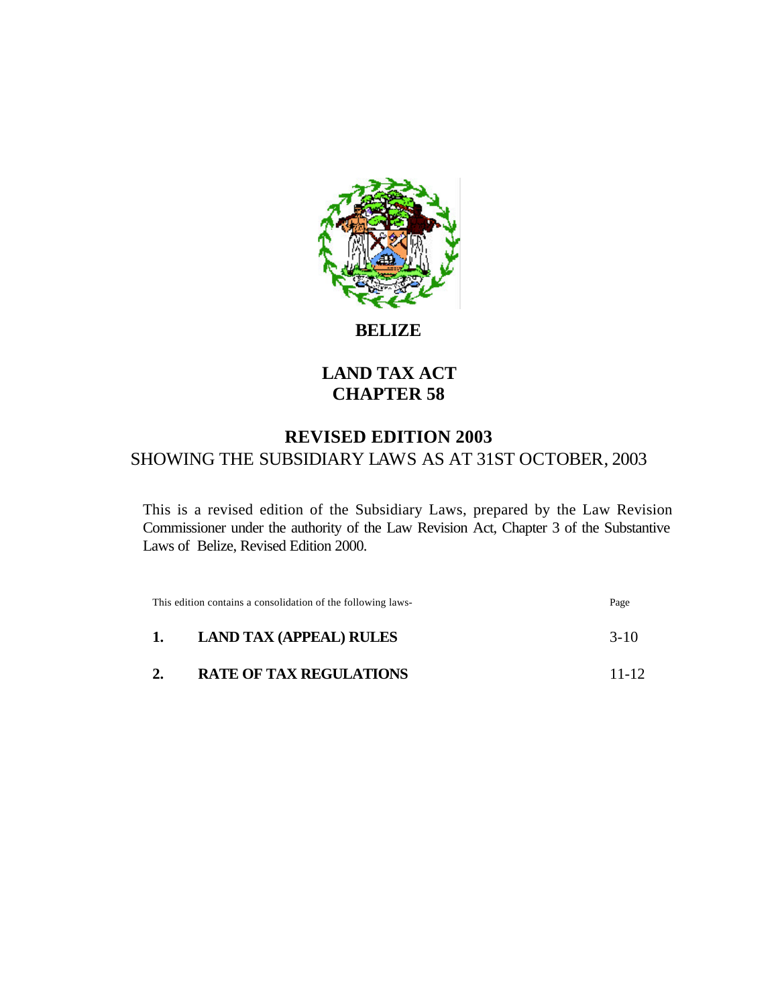

**BELIZE**

# **LAND TAX ACT CHAPTER 58**

# **REVISED EDITION 2003** SHOWING THE SUBSIDIARY LAWS AS AT 31ST OCTOBER, 2003

This is a revised edition of the Subsidiary Laws, prepared by the Law Revision Commissioner under the authority of the Law Revision Act, Chapter 3 of the Substantive Laws of Belize, Revised Edition 2000.

| This edition contains a consolidation of the following laws- |                                | Page      |
|--------------------------------------------------------------|--------------------------------|-----------|
| $\mathbf{1}$                                                 | <b>LAND TAX (APPEAL) RULES</b> | $3-10$    |
| 2.                                                           | <b>RATE OF TAX REGULATIONS</b> | $11 - 12$ |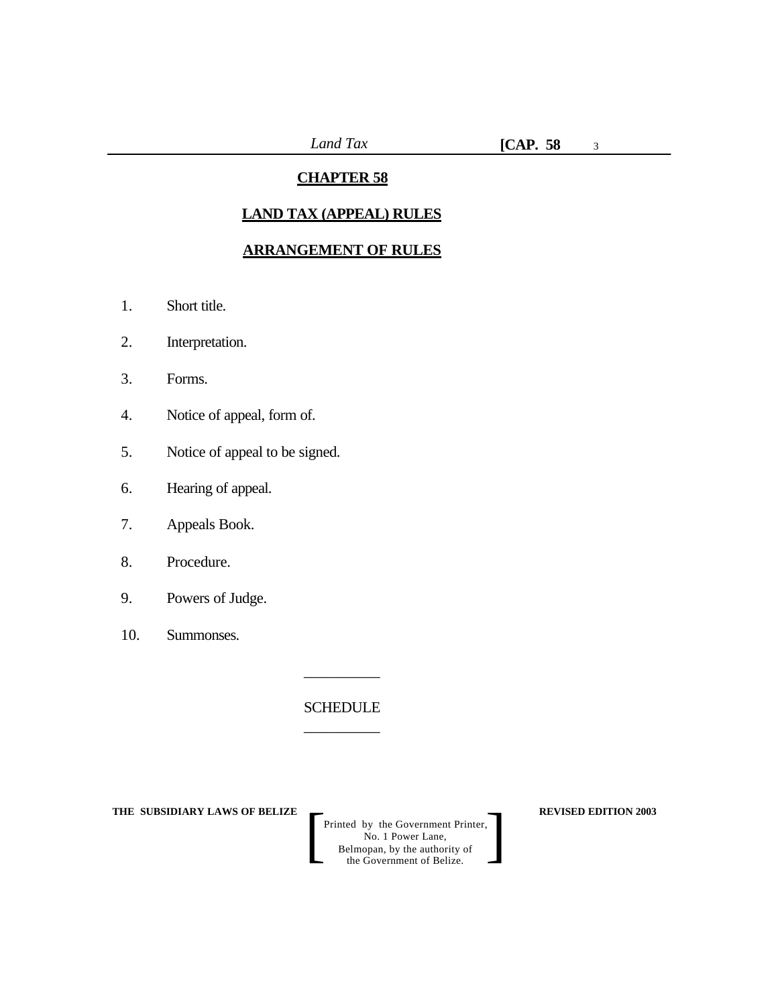3

#### **CHAPTER 58**

## **LAND TAX (APPEAL) RULES**

#### **ARRANGEMENT OF RULES**

- 1. Short title.
- 2. Interpretation.
- 3. Forms.
- 4. Notice of appeal, form of.
- 5. Notice of appeal to be signed.
- 6. Hearing of appeal.
- 7. Appeals Book.
- 8. Procedure.
- 9. Powers of Judge.
- 10. Summonses.

**SCHEDULE** \_\_\_\_\_\_\_\_\_\_

\_\_\_\_\_\_\_\_\_\_

**THE SUBSIDIARY LAWS OF BELIZE REVISED EDITION 2003**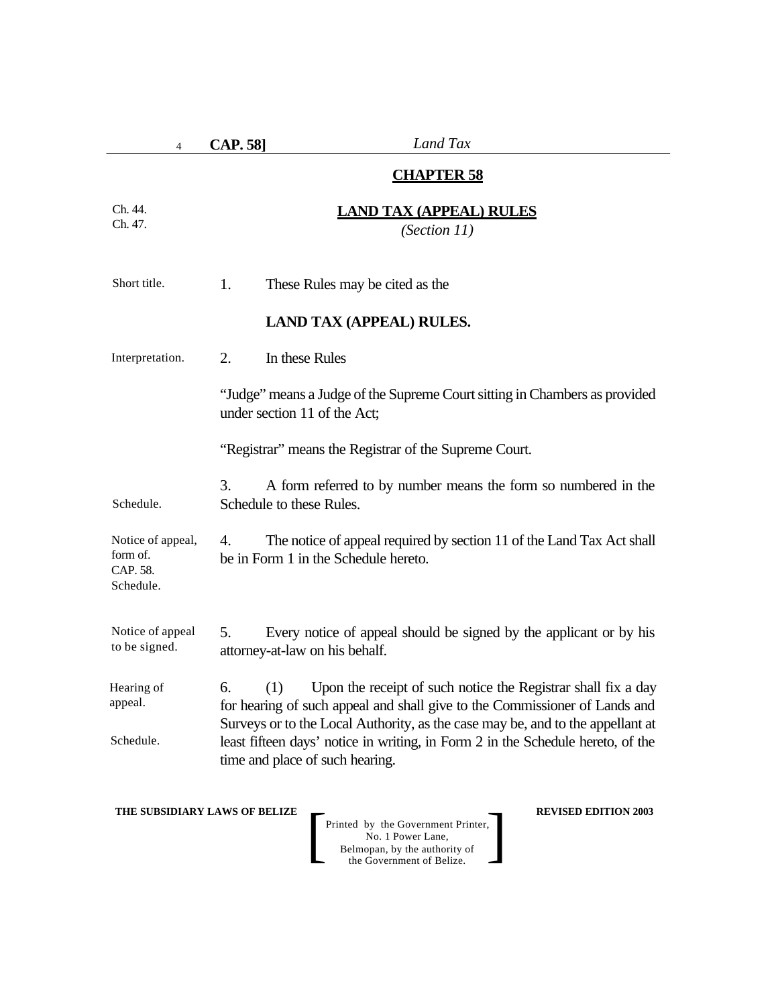| $\overline{4}$                                         | Land Tax<br><b>CAP. 58</b> ]                                                                                                                                                                                                                                                                                                                                     |  |
|--------------------------------------------------------|------------------------------------------------------------------------------------------------------------------------------------------------------------------------------------------------------------------------------------------------------------------------------------------------------------------------------------------------------------------|--|
|                                                        | <b>CHAPTER 58</b>                                                                                                                                                                                                                                                                                                                                                |  |
| Ch. 44.<br>Ch. 47.                                     | <b>LAND TAX (APPEAL) RULES</b><br>(Section 11)                                                                                                                                                                                                                                                                                                                   |  |
| Short title.                                           | 1.<br>These Rules may be cited as the                                                                                                                                                                                                                                                                                                                            |  |
|                                                        | <b>LAND TAX (APPEAL) RULES.</b>                                                                                                                                                                                                                                                                                                                                  |  |
| Interpretation.                                        | 2.<br>In these Rules                                                                                                                                                                                                                                                                                                                                             |  |
|                                                        | "Judge" means a Judge of the Supreme Court sitting in Chambers as provided<br>under section 11 of the Act;                                                                                                                                                                                                                                                       |  |
|                                                        | "Registrar" means the Registrar of the Supreme Court.                                                                                                                                                                                                                                                                                                            |  |
| Schedule.                                              | 3.<br>A form referred to by number means the form so numbered in the<br>Schedule to these Rules.                                                                                                                                                                                                                                                                 |  |
| Notice of appeal,<br>form of.<br>CAP. 58.<br>Schedule. | The notice of appeal required by section 11 of the Land Tax Act shall<br>4.<br>be in Form 1 in the Schedule hereto.                                                                                                                                                                                                                                              |  |
| Notice of appeal<br>to be signed.                      | 5.<br>Every notice of appeal should be signed by the applicant or by his<br>attorney-at-law on his behalf.                                                                                                                                                                                                                                                       |  |
| Hearing of<br>appeal.<br>Schedule.                     | 6.<br>(1)<br>Upon the receipt of such notice the Registrar shall fix a day<br>for hearing of such appeal and shall give to the Commissioner of Lands and<br>Surveys or to the Local Authority, as the case may be, and to the appellant at<br>least fifteen days' notice in writing, in Form 2 in the Schedule hereto, of the<br>time and place of such hearing. |  |

**THE SUBSIDIARY LAWS OF BELIZE REVISED EDITION 2003**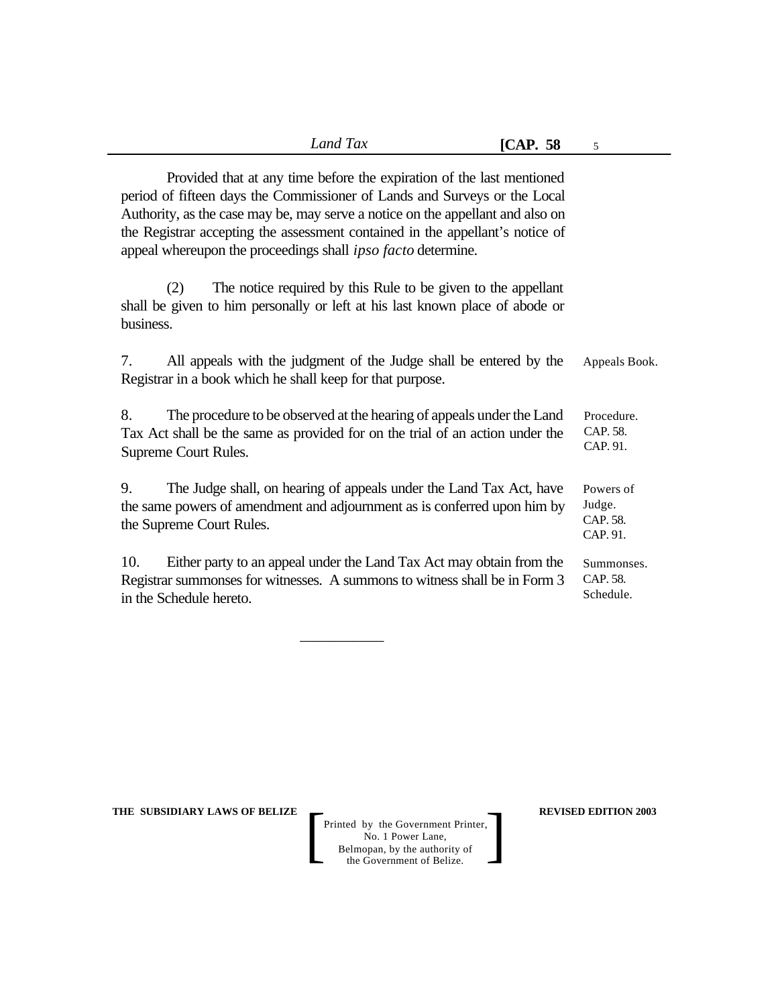|                                                                                                                                                                                                                                                                                                                                                                                              | Land Tax                                                      | [CAP. 58] | 5                                           |
|----------------------------------------------------------------------------------------------------------------------------------------------------------------------------------------------------------------------------------------------------------------------------------------------------------------------------------------------------------------------------------------------|---------------------------------------------------------------|-----------|---------------------------------------------|
| Provided that at any time before the expiration of the last mentioned<br>period of fifteen days the Commissioner of Lands and Surveys or the Local<br>Authority, as the case may be, may serve a notice on the appellant and also on<br>the Registrar accepting the assessment contained in the appellant's notice of<br>appeal whereupon the proceedings shall <i>ipso facto</i> determine. |                                                               |           |                                             |
| (2)<br>shall be given to him personally or left at his last known place of abode or<br>business.                                                                                                                                                                                                                                                                                             | The notice required by this Rule to be given to the appellant |           |                                             |
| 7.<br>All appeals with the judgment of the Judge shall be entered by the<br>Registrar in a book which he shall keep for that purpose.                                                                                                                                                                                                                                                        |                                                               |           | Appeals Book.                               |
| 8.<br>The procedure to be observed at the hearing of appeals under the Land<br>Tax Act shall be the same as provided for on the trial of an action under the<br>Supreme Court Rules.                                                                                                                                                                                                         |                                                               |           | Procedure.<br>CAP. 58.<br>CAP. 91.          |
| 9.<br>The Judge shall, on hearing of appeals under the Land Tax Act, have<br>the same powers of amendment and adjournment as is conferred upon him by<br>the Supreme Court Rules.                                                                                                                                                                                                            |                                                               |           | Powers of<br>Judge.<br>CAP. 58.<br>CAP. 91. |
| 10.<br>Either party to an appeal under the Land Tax Act may obtain from the<br>Registrar summonses for witnesses. A summons to witness shall be in Form 3<br>in the Schedule hereto.                                                                                                                                                                                                         |                                                               |           | Summonses.<br>CAP. 58.<br>Schedule.         |
|                                                                                                                                                                                                                                                                                                                                                                                              |                                                               |           |                                             |

\_\_\_\_\_\_\_\_\_\_\_

**THE SUBSIDIARY LAWS OF BELIZE REVISED EDITION 2003**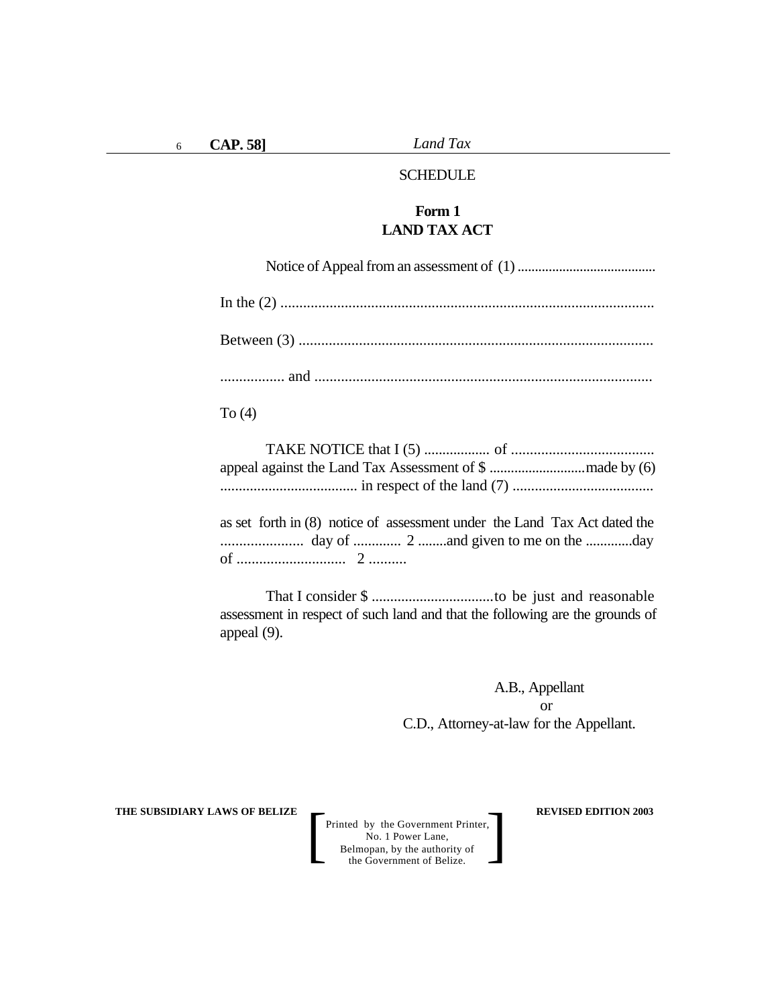#### SCHEDULE

#### **Form 1 LAND TAX ACT**

| To $(4)$                                                                  |
|---------------------------------------------------------------------------|
|                                                                           |
| as set forth in (8) notice of assessment under the Land Tax Act dated the |

as set forth in (8) notice of assessment under the Land Tax Act dated the ...................... day of ............. 2 ........and given to me on the .............day of ............................. 2 ..........

That I consider \$ .................................to be just and reasonable assessment in respect of such land and that the following are the grounds of appeal (9).

> A.B., Appellant or C.D., Attorney-at-law for the Appellant.

**THE SUBSIDIARY LAWS OF BELIZE**  $\qquad$  $\qquad$  **REVISED EDITION 2003**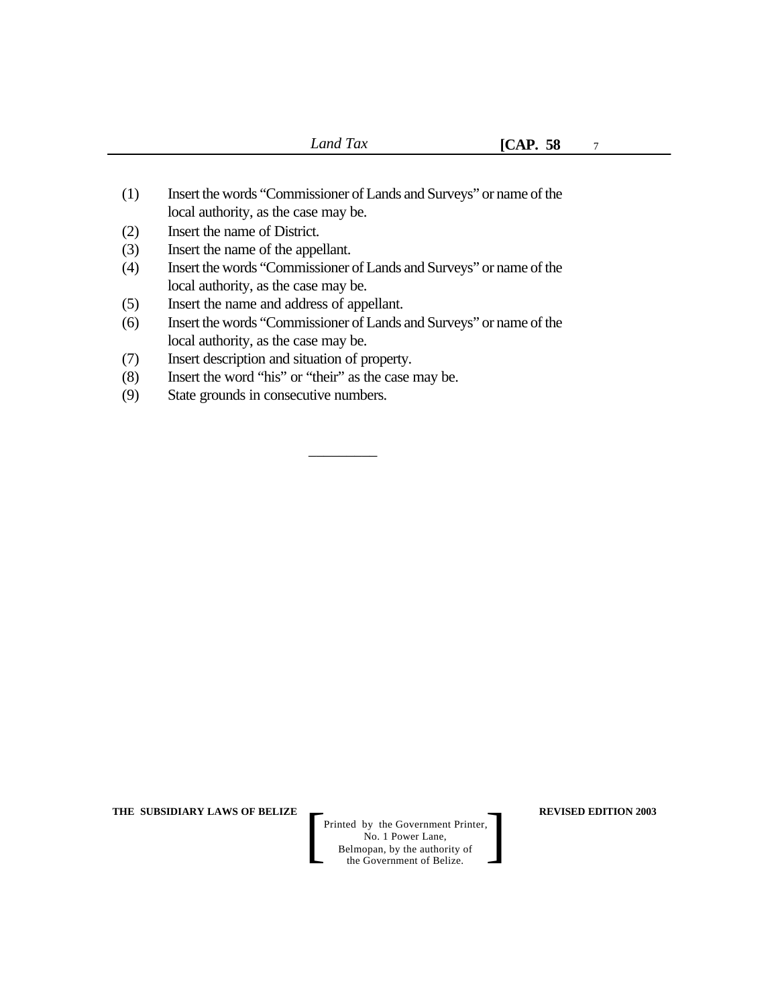7

- (1) Insert the words "Commissioner of Lands and Surveys" or name of the local authority, as the case may be.
- (2) Insert the name of District.
- (3) Insert the name of the appellant.
- (4) Insert the words "Commissioner of Lands and Surveys" or name of the local authority, as the case may be.
- (5) Insert the name and address of appellant.
- (6) Insert the words "Commissioner of Lands and Surveys" or name of the local authority, as the case may be.

 $\overline{\phantom{a}}$  , where  $\overline{\phantom{a}}$ 

- (7) Insert description and situation of property.
- (8) Insert the word "his" or "their" as the case may be.
- (9) State grounds in consecutive numbers.

**THE SUBSIDIARY LAWS OF BELIZE**  $\qquad$  **REVISED EDITION 2003**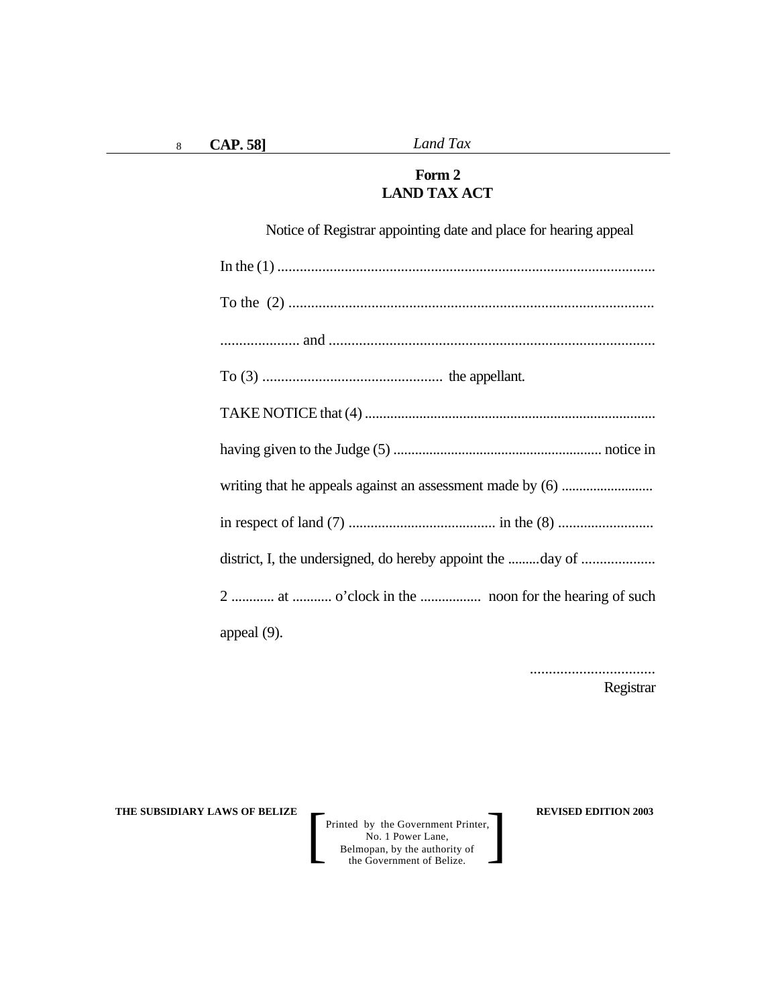### **Form 2 LAND TAX ACT**

Notice of Registrar appointing date and place for hearing appeal In the (1) ..................................................................................................... To the (2) ................................................................................................. ..................... and ...................................................................................... To (3) ................................................ the appellant. TAKE NOTICE that (4) ................................................................................ having given to the Judge (5) .......................................................... notice in writing that he appeals against an assessment made by (6) .......................... in respect of land (7) ........................................ in the (8) .......................... district, I, the undersigned, do hereby appoint the .........day of .................... 2 ............ at ........... o'clock in the ................. noon for the hearing of such appeal (9).

> ................................. Registrar

**THE SUBSIDIARY LAWS OF BELIZE**  $\qquad$  **REVISED EDITION 2003**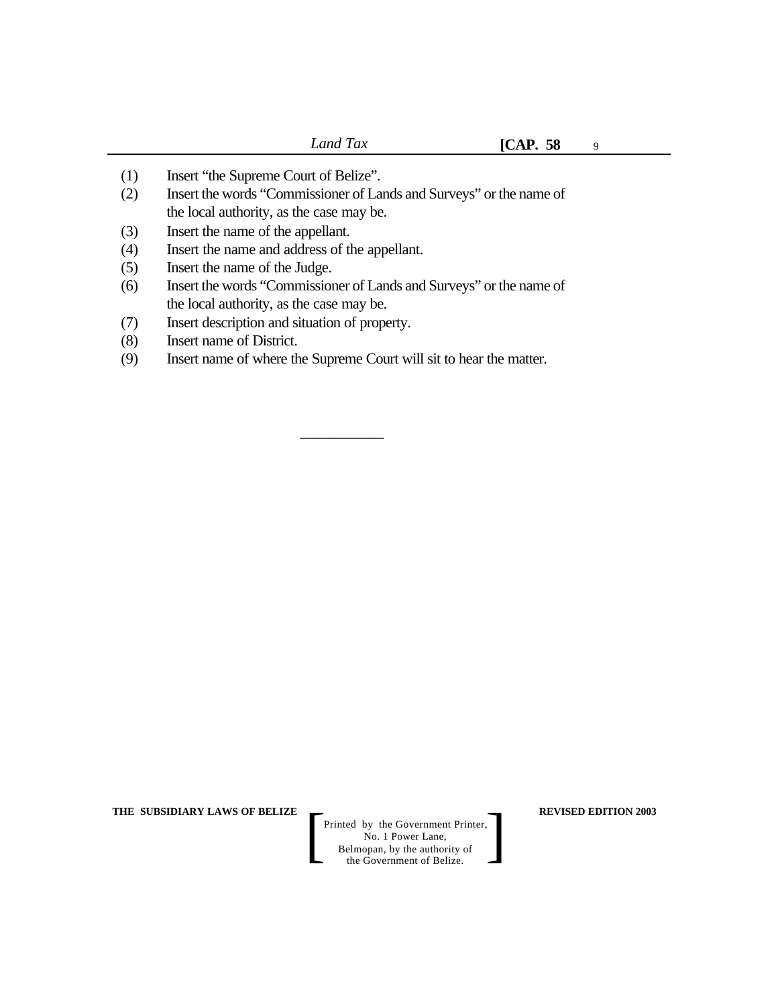9

- (1) Insert "the Supreme Court of Belize".
- (2) Insert the words "Commissioner of Lands and Surveys" or the name of the local authority, as the case may be.
- (3) Insert the name of the appellant.
- (4) Insert the name and address of the appellant.
- (5) Insert the name of the Judge.
- (6) Insert the words "Commissioner of Lands and Surveys" or the name of the local authority, as the case may be.
- (7) Insert description and situation of property.
- (8) Insert name of District.
- (9) Insert name of where the Supreme Court will sit to hear the matter.

\_\_\_\_\_\_\_\_\_\_\_

**THE SUBSIDIARY LAWS OF BELIZE**  $\qquad$  **REVISED EDITION 2003**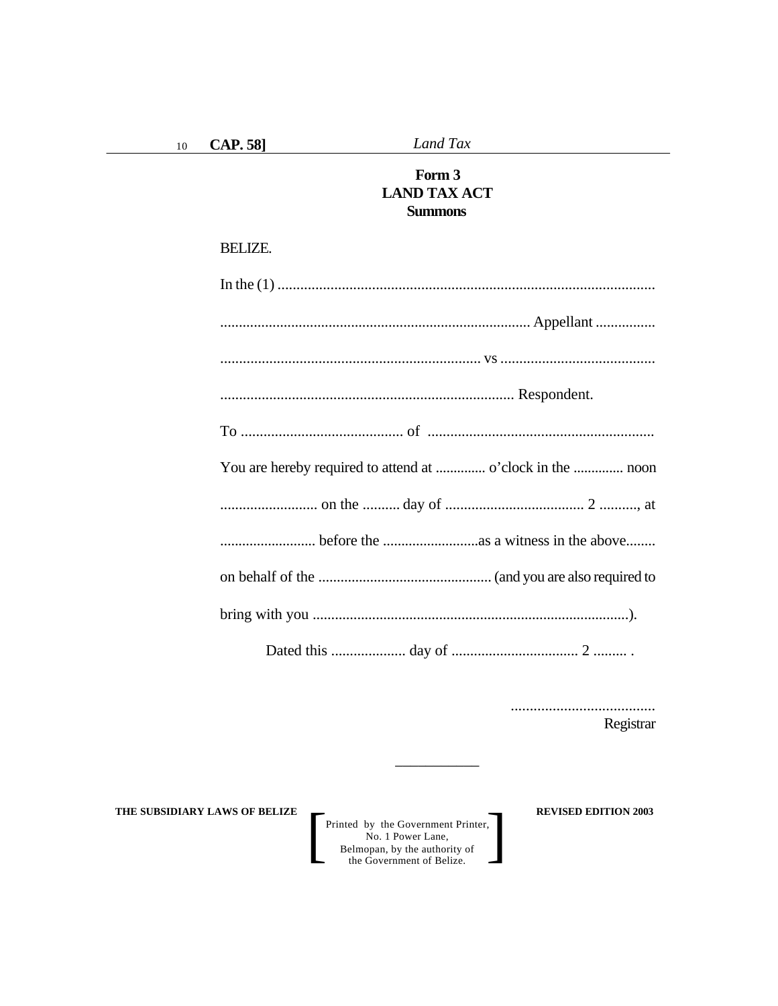Land Tax

### Form 3 **LAND TAX ACT Summons**

#### **BELIZE.**

| You are hereby required to attend at  o'clock in the  noon |
|------------------------------------------------------------|
|                                                            |
|                                                            |
|                                                            |
|                                                            |
|                                                            |

.................................... Registrar

THE SUBSIDIARY LAWS OF BELIZE

Printed by the Government Printer,<br>No. 1 Power Lane,<br>Belmopan, by the authority of<br>the Government of Belize.

**REVISED EDITION 2003**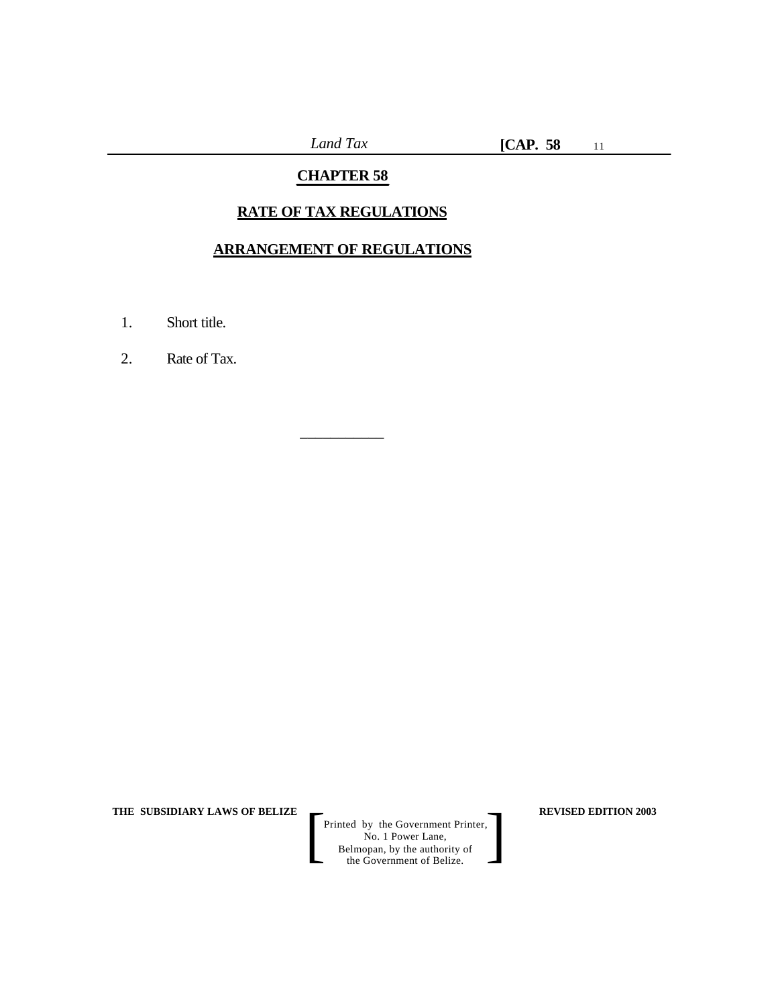## **CHAPTER 58**

### **RATE OF TAX REGULATIONS**

#### **ARRANGEMENT OF REGULATIONS**

\_\_\_\_\_\_\_\_\_\_\_

- 1. Short title.
- 2. Rate of Tax.

**THE SUBSIDIARY LAWS OF BELIZE REVISED EDITION 2003**